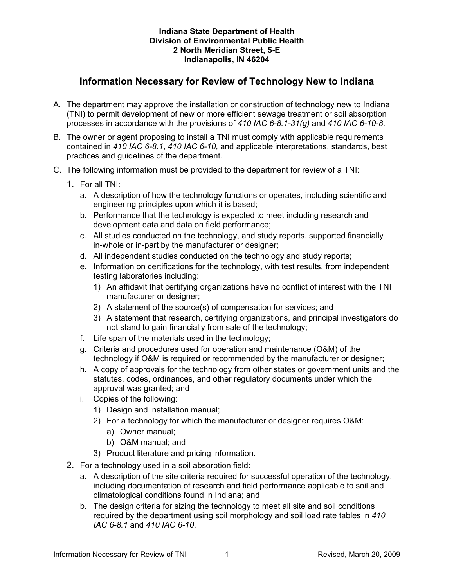## **Indiana State Department of Health Division of Environmental Public Health 2 North Meridian Street, 5-E Indianapolis, IN 46204**

## **Information Necessary for Review of Technology New to Indiana**

- A. The department may approve the installation or construction of technology new to Indiana (TNI) to permit development of new or more efficient sewage treatment or soil absorption processes in accordance with the provisions of *410 IAC 6-8.1-31(g)* and *410 IAC 6-10-8*.
- B. The owner or agent proposing to install a TNI must comply with applicable requirements contained in *410 IAC 6-8.1*, *410 IAC 6-10*, and applicable interpretations, standards, best practices and guidelines of the department.
- C. The following information must be provided to the department for review of a TNI:
	- 1. For all TNI:
		- a. A description of how the technology functions or operates, including scientific and engineering principles upon which it is based;
		- b. Performance that the technology is expected to meet including research and development data and data on field performance;
		- c. All studies conducted on the technology, and study reports, supported financially in-whole or in-part by the manufacturer or designer;
		- d. All independent studies conducted on the technology and study reports;
		- e. Information on certifications for the technology, with test results, from independent testing laboratories including:
			- 1) An affidavit that certifying organizations have no conflict of interest with the TNI manufacturer or designer;
			- 2) A statement of the source(s) of compensation for services; and
			- 3) A statement that research, certifying organizations, and principal investigators do not stand to gain financially from sale of the technology;
		- f. Life span of the materials used in the technology;
		- g. Criteria and procedures used for operation and maintenance (O&M) of the technology if O&M is required or recommended by the manufacturer or designer;
		- h. A copy of approvals for the technology from other states or government units and the statutes, codes, ordinances, and other regulatory documents under which the approval was granted; and
		- i. Copies of the following:
			- 1) Design and installation manual;
			- 2) For a technology for which the manufacturer or designer requires O&M:
				- a) Owner manual;
				- b) O&M manual; and
			- 3) Product literature and pricing information.
	- 2. For a technology used in a soil absorption field:
		- a. A description of the site criteria required for successful operation of the technology, including documentation of research and field performance applicable to soil and climatological conditions found in Indiana; and
		- b. The design criteria for sizing the technology to meet all site and soil conditions required by the department using soil morphology and soil load rate tables in *410 IAC 6-8.1* and *410 IAC 6-10*.